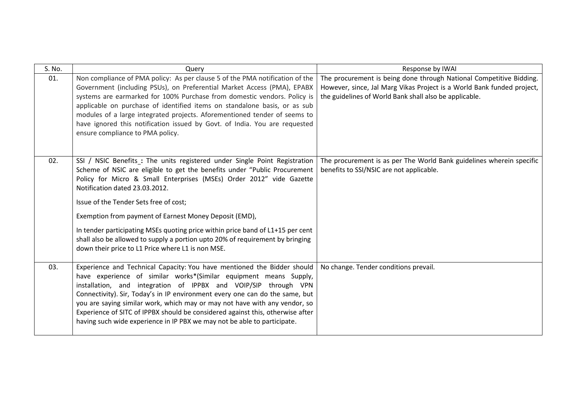| S. No. | Query                                                                                                                                                                                                                                                                                                                                                                                                                                                                                                                                                                                         | Response by IWAI                                                                                                                                                                                        |
|--------|-----------------------------------------------------------------------------------------------------------------------------------------------------------------------------------------------------------------------------------------------------------------------------------------------------------------------------------------------------------------------------------------------------------------------------------------------------------------------------------------------------------------------------------------------------------------------------------------------|---------------------------------------------------------------------------------------------------------------------------------------------------------------------------------------------------------|
| 01.    | Non compliance of PMA policy: As per clause 5 of the PMA notification of the<br>Government (including PSUs), on Preferential Market Access (PMA), EPABX<br>systems are earmarked for 100% Purchase from domestic vendors. Policy is<br>applicable on purchase of identified items on standalone basis, or as sub<br>modules of a large integrated projects. Aforementioned tender of seems to<br>have ignored this notification issued by Govt. of India. You are requested<br>ensure compliance to PMA policy.                                                                               | The procurement is being done through National Competitive Bidding.<br>However, since, Jal Marg Vikas Project is a World Bank funded project,<br>the guidelines of World Bank shall also be applicable. |
| 02.    | SSI / NSIC Benefits : The units registered under Single Point Registration<br>Scheme of NSIC are eligible to get the benefits under "Public Procurement<br>Policy for Micro & Small Enterprises (MSEs) Order 2012" vide Gazette<br>Notification dated 23.03.2012.<br>Issue of the Tender Sets free of cost;<br>Exemption from payment of Earnest Money Deposit (EMD),<br>In tender participating MSEs quoting price within price band of L1+15 per cent<br>shall also be allowed to supply a portion upto 20% of requirement by bringing<br>down their price to L1 Price where L1 is non MSE. | The procurement is as per The World Bank guidelines wherein specific<br>benefits to SSI/NSIC are not applicable.                                                                                        |
| 03.    | Experience and Technical Capacity: You have mentioned the Bidder should<br>have experience of similar works*(Similar equipment means Supply,<br>installation, and integration of IPPBX and VOIP/SIP through VPN<br>Connectivity). Sir, Today's in IP environment every one can do the same, but<br>you are saying similar work, which may or may not have with any vendor, so<br>Experience of SITC of IPPBX should be considered against this, otherwise after<br>having such wide experience in IP PBX we may not be able to participate.                                                   | No change. Tender conditions prevail.                                                                                                                                                                   |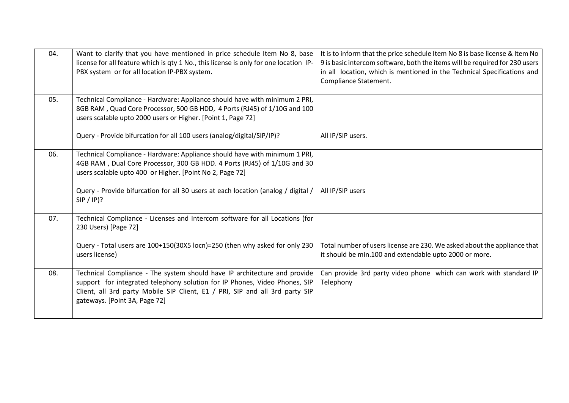| 04. | Want to clarify that you have mentioned in price schedule Item No 8, base<br>license for all feature which is qty 1 No., this license is only for one location IP-<br>PBX system or for all location IP-PBX system.                                                      | It is to inform that the price schedule Item No 8 is base license & Item No<br>9 is basic intercom software, both the items will be required for 230 users<br>in all location, which is mentioned in the Technical Specifications and<br>Compliance Statement. |
|-----|--------------------------------------------------------------------------------------------------------------------------------------------------------------------------------------------------------------------------------------------------------------------------|----------------------------------------------------------------------------------------------------------------------------------------------------------------------------------------------------------------------------------------------------------------|
| 05. | Technical Compliance - Hardware: Appliance should have with minimum 2 PRI,<br>8GB RAM, Quad Core Processor, 500 GB HDD, 4 Ports (RJ45) of 1/10G and 100<br>users scalable upto 2000 users or Higher. [Point 1, Page 72]                                                  |                                                                                                                                                                                                                                                                |
|     | Query - Provide bifurcation for all 100 users (analog/digital/SIP/IP)?                                                                                                                                                                                                   | All IP/SIP users.                                                                                                                                                                                                                                              |
| 06. | Technical Compliance - Hardware: Appliance should have with minimum 1 PRI,<br>4GB RAM, Dual Core Processor, 300 GB HDD. 4 Ports (RJ45) of 1/10G and 30<br>users scalable upto 400 or Higher. [Point No 2, Page 72]                                                       |                                                                                                                                                                                                                                                                |
|     | Query - Provide bifurcation for all 30 users at each location (analog / digital /<br>$SIP / IP$ ?                                                                                                                                                                        | All IP/SIP users                                                                                                                                                                                                                                               |
| 07. | Technical Compliance - Licenses and Intercom software for all Locations (for<br>230 Users) [Page 72]                                                                                                                                                                     |                                                                                                                                                                                                                                                                |
|     | Query - Total users are 100+150(30X5 locn)=250 (then why asked for only 230<br>users license)                                                                                                                                                                            | Total number of users license are 230. We asked about the appliance that<br>it should be min.100 and extendable upto 2000 or more.                                                                                                                             |
| 08. | Technical Compliance - The system should have IP architecture and provide<br>support for integrated telephony solution for IP Phones, Video Phones, SIP<br>Client, all 3rd party Mobile SIP Client, E1 / PRI, SIP and all 3rd party SIP<br>gateways. [Point 3A, Page 72] | Can provide 3rd party video phone which can work with standard IP<br>Telephony                                                                                                                                                                                 |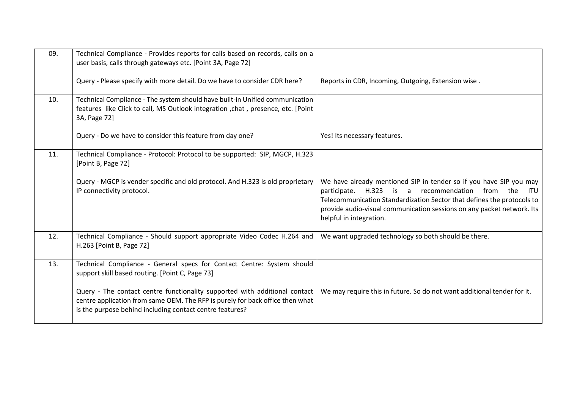| 09. | Technical Compliance - Provides reports for calls based on records, calls on a<br>user basis, calls through gateways etc. [Point 3A, Page 72]                                                                           |                                                                                                                                                                                                                                                                                                                       |
|-----|-------------------------------------------------------------------------------------------------------------------------------------------------------------------------------------------------------------------------|-----------------------------------------------------------------------------------------------------------------------------------------------------------------------------------------------------------------------------------------------------------------------------------------------------------------------|
|     | Query - Please specify with more detail. Do we have to consider CDR here?                                                                                                                                               | Reports in CDR, Incoming, Outgoing, Extension wise.                                                                                                                                                                                                                                                                   |
| 10. | Technical Compliance - The system should have built-in Unified communication<br>features like Click to call, MS Outlook integration , chat, presence, etc. [Point<br>3A, Page 72]                                       |                                                                                                                                                                                                                                                                                                                       |
|     | Query - Do we have to consider this feature from day one?                                                                                                                                                               | Yes! Its necessary features.                                                                                                                                                                                                                                                                                          |
| 11. | Technical Compliance - Protocol: Protocol to be supported: SIP, MGCP, H.323<br>[Point B, Page 72]                                                                                                                       |                                                                                                                                                                                                                                                                                                                       |
|     | Query - MGCP is vender specific and old protocol. And H.323 is old proprietary<br>IP connectivity protocol.                                                                                                             | We have already mentioned SIP in tender so if you have SIP you may<br>H.323 is a recommendation from the<br>participate.<br><b>ITU</b><br>Telecommunication Standardization Sector that defines the protocols to<br>provide audio-visual communication sessions on any packet network. Its<br>helpful in integration. |
| 12. | Technical Compliance - Should support appropriate Video Codec H.264 and<br>H.263 [Point B, Page 72]                                                                                                                     | We want upgraded technology so both should be there.                                                                                                                                                                                                                                                                  |
| 13. | Technical Compliance - General specs for Contact Centre: System should<br>support skill based routing. [Point C, Page 73]                                                                                               |                                                                                                                                                                                                                                                                                                                       |
|     | Query - The contact centre functionality supported with additional contact<br>centre application from same OEM. The RFP is purely for back office then what<br>is the purpose behind including contact centre features? | We may require this in future. So do not want additional tender for it.                                                                                                                                                                                                                                               |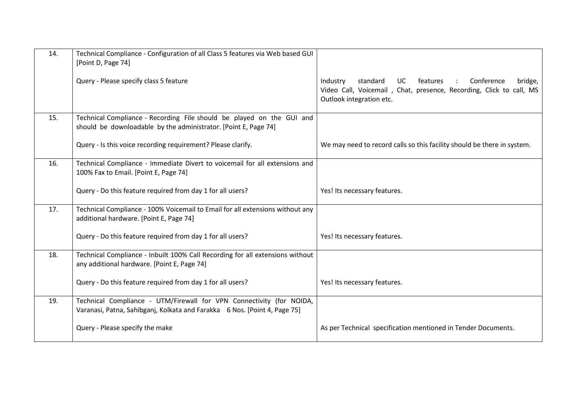| 14. | Technical Compliance - Configuration of all Class 5 features via Web based GUI<br>[Point D, Page 74]                                              |                                                                                                                                                                                  |
|-----|---------------------------------------------------------------------------------------------------------------------------------------------------|----------------------------------------------------------------------------------------------------------------------------------------------------------------------------------|
|     | Query - Please specify class 5 feature                                                                                                            | Conference<br>standard<br>UC.<br>features<br>bridge,<br>Industry<br>$\sim$ 1.<br>Video Call, Voicemail, Chat, presence, Recording, Click to call, MS<br>Outlook integration etc. |
| 15. | Technical Compliance - Recording File should be played on the GUI and<br>should be downloadable by the administrator. [Point E, Page 74]          |                                                                                                                                                                                  |
|     | Query - Is this voice recording requirement? Please clarify.                                                                                      | We may need to record calls so this facility should be there in system.                                                                                                          |
| 16. | Technical Compliance - Immediate Divert to voicemail for all extensions and<br>100% Fax to Email. [Point E, Page 74]                              |                                                                                                                                                                                  |
|     | Query - Do this feature required from day 1 for all users?                                                                                        | Yes! Its necessary features.                                                                                                                                                     |
| 17. | Technical Compliance - 100% Voicemail to Email for all extensions without any<br>additional hardware. [Point E, Page 74]                          |                                                                                                                                                                                  |
|     | Query - Do this feature required from day 1 for all users?                                                                                        | Yes! Its necessary features.                                                                                                                                                     |
| 18. | Technical Compliance - Inbuilt 100% Call Recording for all extensions without<br>any additional hardware. [Point E, Page 74]                      |                                                                                                                                                                                  |
|     | Query - Do this feature required from day 1 for all users?                                                                                        | Yes! Its necessary features.                                                                                                                                                     |
| 19. | Technical Compliance - UTM/Firewall for VPN Connectivity (for NOIDA,<br>Varanasi, Patna, Sahibganj, Kolkata and Farakka 6 Nos. [Point 4, Page 75] |                                                                                                                                                                                  |
|     | Query - Please specify the make                                                                                                                   | As per Technical specification mentioned in Tender Documents.                                                                                                                    |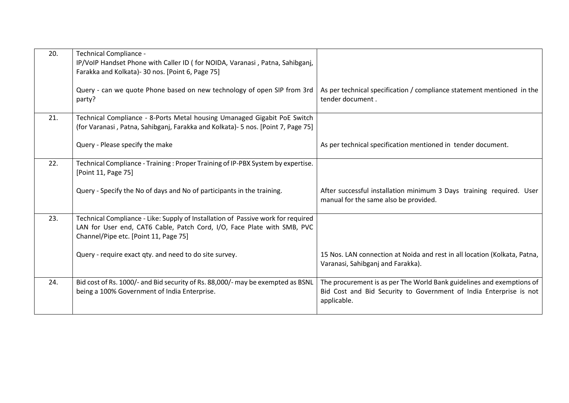| 20. | Technical Compliance -<br>IP/VoIP Handset Phone with Caller ID (for NOIDA, Varanasi, Patna, Sahibganj,<br>Farakka and Kolkata) - 30 nos. [Point 6, Page 75]<br>Query - can we quote Phone based on new technology of open SIP from 3rd | As per technical specification / compliance statement mentioned in the                                                                                     |
|-----|----------------------------------------------------------------------------------------------------------------------------------------------------------------------------------------------------------------------------------------|------------------------------------------------------------------------------------------------------------------------------------------------------------|
|     | party?                                                                                                                                                                                                                                 | tender document.                                                                                                                                           |
| 21. | Technical Compliance - 8-Ports Metal housing Umanaged Gigabit PoE Switch<br>(for Varanasi, Patna, Sahibganj, Farakka and Kolkata) - 5 nos. [Point 7, Page 75]                                                                          |                                                                                                                                                            |
|     | Query - Please specify the make                                                                                                                                                                                                        | As per technical specification mentioned in tender document.                                                                                               |
| 22. | Technical Compliance - Training : Proper Training of IP-PBX System by expertise.<br>[Point 11, Page 75]                                                                                                                                |                                                                                                                                                            |
|     | Query - Specify the No of days and No of participants in the training.                                                                                                                                                                 | After successful installation minimum 3 Days training required. User<br>manual for the same also be provided.                                              |
| 23. | Technical Compliance - Like: Supply of Installation of Passive work for required<br>LAN for User end, CAT6 Cable, Patch Cord, I/O, Face Plate with SMB, PVC<br>Channel/Pipe etc. [Point 11, Page 75]                                   |                                                                                                                                                            |
|     | Query - require exact qty. and need to do site survey.                                                                                                                                                                                 | 15 Nos. LAN connection at Noida and rest in all location (Kolkata, Patna,<br>Varanasi, Sahibganj and Farakka).                                             |
| 24. | Bid cost of Rs. 1000/- and Bid security of Rs. 88,000/- may be exempted as BSNL<br>being a 100% Government of India Enterprise.                                                                                                        | The procurement is as per The World Bank guidelines and exemptions of<br>Bid Cost and Bid Security to Government of India Enterprise is not<br>applicable. |